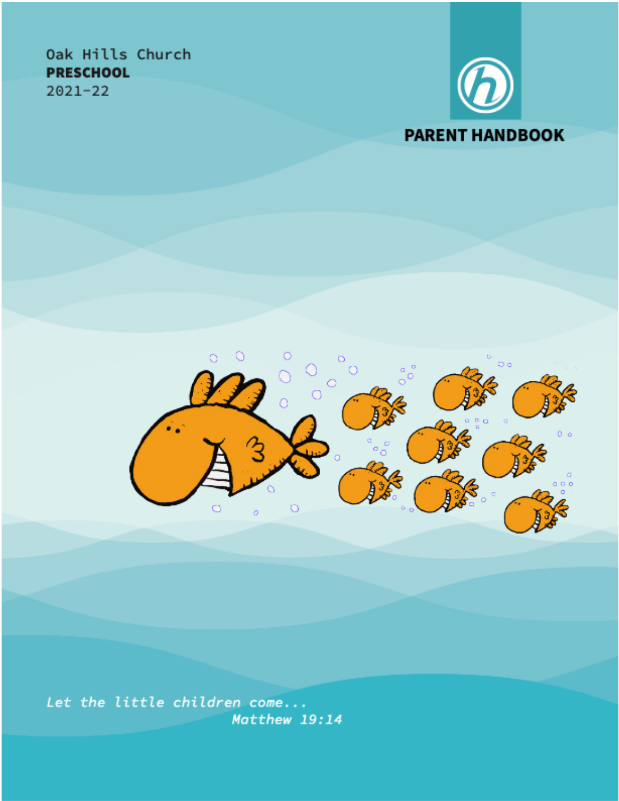# Oak Hills Church **PRESCHOOL**  $2021 - 22$





Let the little children come... Matthew 19:14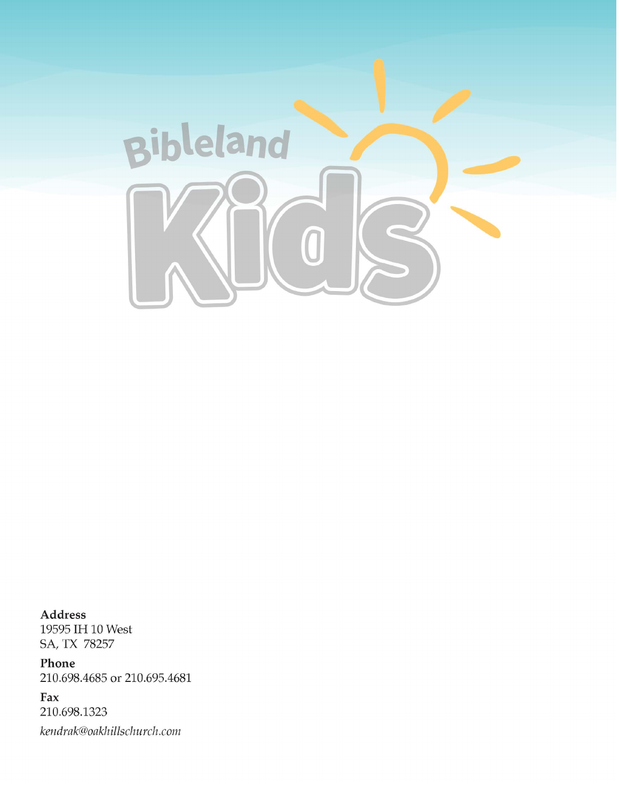

Address 19595 IH 10 West SA, TX 78257

Phone 210.698.4685 or 210.695.4681

Fax 210.698.1323 kendrak@oakhillschurch.com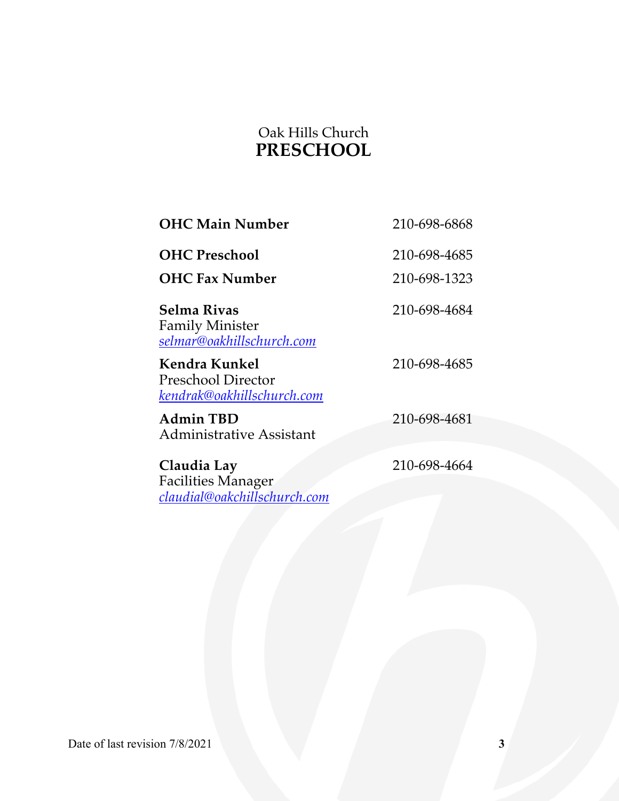# Oak Hills Church **PRESCHOOL**

| <b>OHC Main Number</b>                                                   | 210-698-6868 |
|--------------------------------------------------------------------------|--------------|
| <b>OHC Preschool</b>                                                     | 210-698-4685 |
| <b>OHC Fax Number</b>                                                    | 210-698-1323 |
| Selma Rivas<br><b>Family Minister</b><br>selmar@oakhillschurch.com       | 210-698-4684 |
| Kendra Kunkel<br><b>Preschool Director</b><br>kendrak@oakhillschurch.com | 210-698-4685 |
| <b>Admin TBD</b><br><b>Administrative Assistant</b>                      | 210-698-4681 |
| Claudia Lay<br><b>Facilities Manager</b><br>claudial@oakchillschurch.com | 210-698-4664 |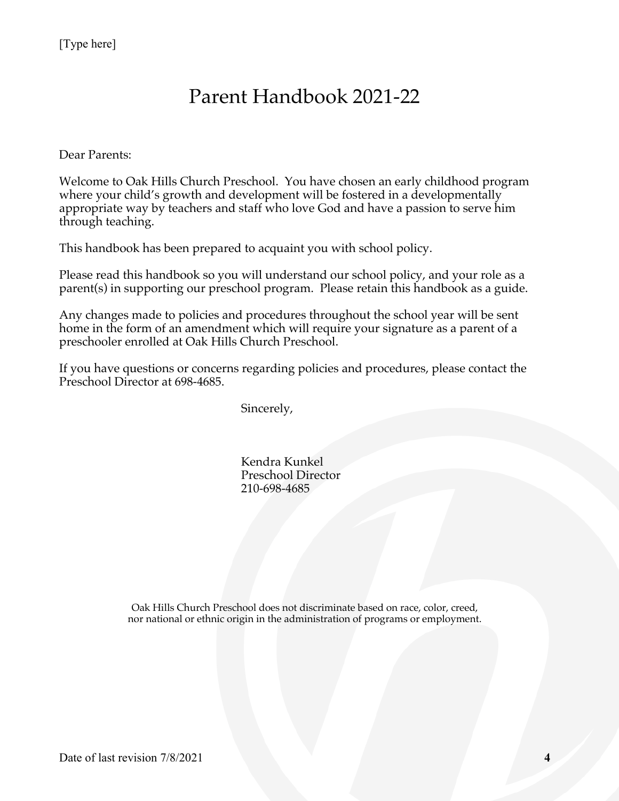# Parent Handbook 2021-22

Dear Parents:

Welcome to Oak Hills Church Preschool. You have chosen an early childhood program where your child's growth and development will be fostered in a developmentally appropriate way by teachers and staff who love God and have a passion to serve him through teaching.

This handbook has been prepared to acquaint you with school policy.

Please read this handbook so you will understand our school policy, and your role as a parent(s) in supporting our preschool program. Please retain this handbook as a guide.

Any changes made to policies and procedures throughout the school year will be sent home in the form of an amendment which will require your signature as a parent of a preschooler enrolled at Oak Hills Church Preschool.

If you have questions or concerns regarding policies and procedures, please contact the Preschool Director at 698-4685.

Sincerely,

Kendra Kunkel Preschool Director 210-698-4685

Oak Hills Church Preschool does not discriminate based on race, color, creed, nor national or ethnic origin in the administration of programs or employment.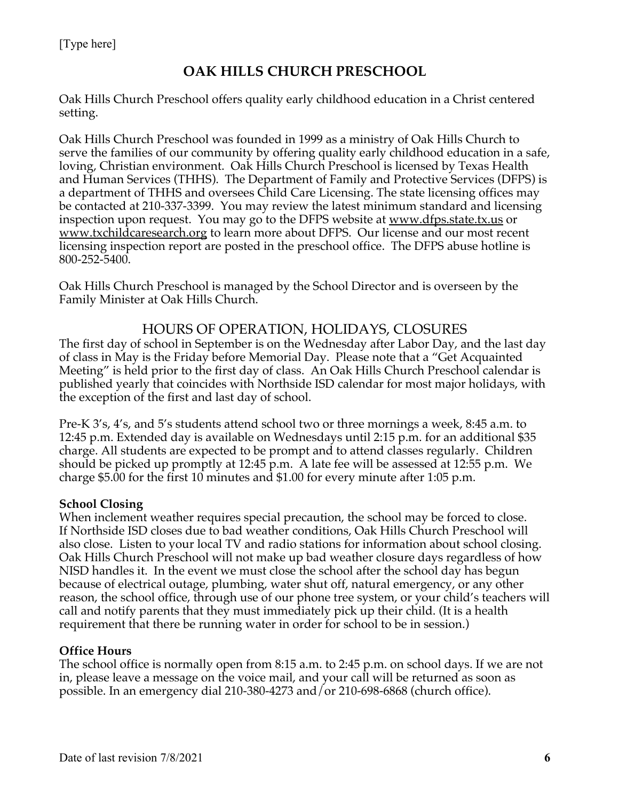# **OAK HILLS CHURCH PRESCHOOL**

Oak Hills Church Preschool offers quality early childhood education in a Christ centered setting.

Oak Hills Church Preschool was founded in 1999 as a ministry of Oak Hills Church to serve the families of our community by offering quality early childhood education in a safe, loving, Christian environment. Oak Hills Church Preschool is licensed by Texas Health and Human Services (THHS). The Department of Family and Protective Services (DFPS) is a department of THHS and oversees Child Care Licensing. The state licensing offices may be contacted at 210-337-3399. You may review the latest minimum standard and licensing inspection upon request. You may go to the DFPS website at <u>www.dfps.state.tx.us</u> or www.txchildcaresearch.org to learn more about DFPS. Our license and our most recent licensing inspection report are posted in the preschool office. The DFPS abuse hotline is 800-252-5400.

Oak Hills Church Preschool is managed by the School Director and is overseen by the Family Minister at Oak Hills Church.

#### HOURS OF OPERATION, HOLIDAYS, CLOSURES

The first day of school in September is on the Wednesday after Labor Day, and the last day of class in May is the Friday before Memorial Day. Please note that a "Get Acquainted Meeting" is held prior to the first day of class. An Oak Hills Church Preschool calendar is published yearly that coincides with Northside ISD calendar for most major holidays, with the exception of the first and last day of school.

Pre-K 3's, 4's, and 5's students attend school two or three mornings a week, 8:45 a.m. to 12:45 p.m. Extended day is available on Wednesdays until 2:15 p.m. for an additional \$35 charge. All students are expected to be prompt and to attend classes regularly. Children should be picked up promptly at 12:45 p.m. A late fee will be assessed at 12:55 p.m. We charge \$5.00 for the first 10 minutes and \$1.00 for every minute after 1:05 p.m.

#### **School Closing**

When inclement weather requires special precaution, the school may be forced to close. If Northside ISD closes due to bad weather conditions, Oak Hills Church Preschool will also close. Listen to your local TV and radio stations for information about school closing. Oak Hills Church Preschool will not make up bad weather closure days regardless of how NISD handles it. In the event we must close the school after the school day has begun because of electrical outage, plumbing, water shut off, natural emergency, or any other reason, the school office, through use of our phone tree system, or your child's teachers will call and notify parents that they must immediately pick up their child. (It is a health requirement that there be running water in order for school to be in session.)

#### **Office Hours**

The school office is normally open from 8:15 a.m. to 2:45 p.m. on school days. If we are not in, please leave a message on the voice mail, and your call will be returned as soon as possible. In an emergency dial 210-380-4273 and/or 210-698-6868 (church office).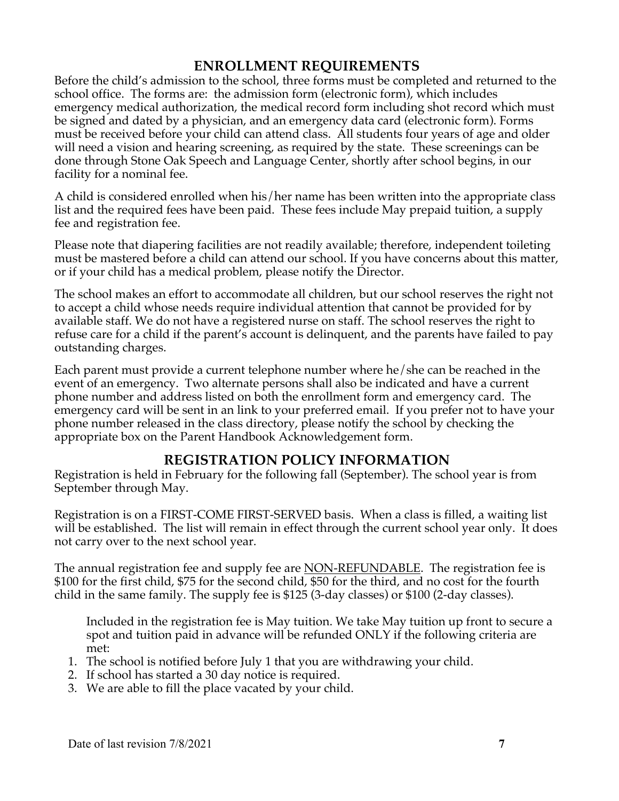# **ENROLLMENT REQUIREMENTS**

Before the child's admission to the school, three forms must be completed and returned to the school office. The forms are: the admission form (electronic form), which includes emergency medical authorization, the medical record form including shot record which must be signed and dated by a physician, and an emergency data card (electronic form). Forms must be received before your child can attend class. All students four years of age and older will need a vision and hearing screening, as required by the state. These screenings can be done through Stone Oak Speech and Language Center, shortly after school begins, in our facility for a nominal fee.

A child is considered enrolled when his/her name has been written into the appropriate class list and the required fees have been paid. These fees include May prepaid tuition, a supply fee and registration fee.

Please note that diapering facilities are not readily available; therefore, independent toileting must be mastered before a child can attend our school. If you have concerns about this matter, or if your child has a medical problem, please notify the Director.

The school makes an effort to accommodate all children, but our school reserves the right not to accept a child whose needs require individual attention that cannot be provided for by available staff. We do not have a registered nurse on staff. The school reserves the right to refuse care for a child if the parent's account is delinquent, and the parents have failed to pay outstanding charges.

Each parent must provide a current telephone number where he/she can be reached in the event of an emergency. Two alternate persons shall also be indicated and have a current phone number and address listed on both the enrollment form and emergency card. The emergency card will be sent in an link to your preferred email. If you prefer not to have your phone number released in the class directory, please notify the school by checking the appropriate box on the Parent Handbook Acknowledgement form.

# **REGISTRATION POLICY INFORMATION**

Registration is held in February for the following fall (September). The school year is from September through May.

Registration is on a FIRST-COME FIRST-SERVED basis. When a class is filled, a waiting list will be established. The list will remain in effect through the current school year only. It does not carry over to the next school year.

The annual registration fee and supply fee are NON-REFUNDABLE. The registration fee is \$100 for the first child, \$75 for the second child, \$50 for the third, and no cost for the fourth child in the same family. The supply fee is \$125 (3-day classes) or \$100 (2-day classes).

Included in the registration fee is May tuition. We take May tuition up front to secure a spot and tuition paid in advance will be refunded ONLY if the following criteria are met:

- 1. The school is notified before July 1 that you are withdrawing your child.
- 2. If school has started a 30 day notice is required.
- 3. We are able to fill the place vacated by your child.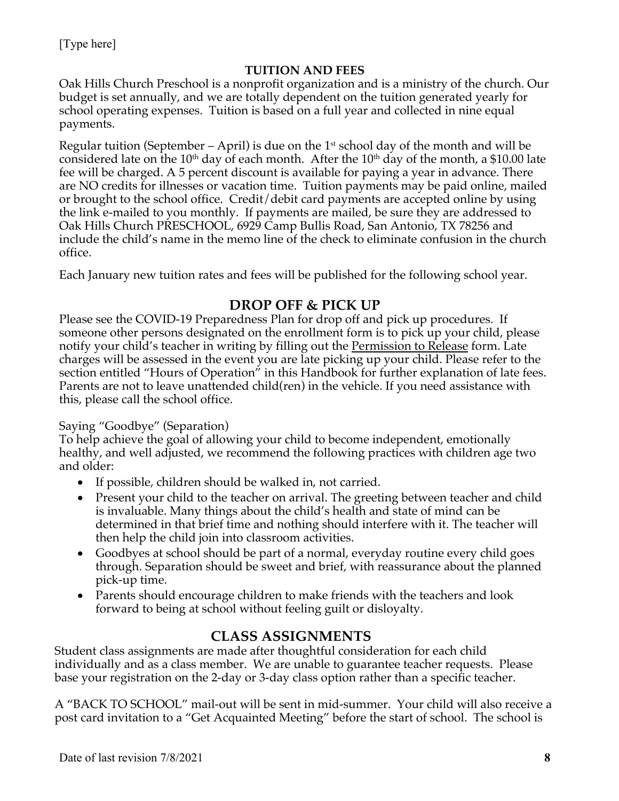#### **TUITION AND FEES**

Oak Hills Church Preschool is a nonprofit organization and is a ministry of the church. Our budget is set annually, and we are totally dependent on the tuition generated yearly for school operating expenses. Tuition is based on a full year and collected in nine equal payments.

Regular tuition (September – April) is due on the  $1<sup>st</sup>$  school day of the month and will be considered late on the 10<sup>th</sup> day of each month. After the 10<sup>th</sup> day of the month, a \$10.00 late fee will be charged. A 5 percent discount is available for paying a year in advance. There are NO credits for illnesses or vacation time. Tuition payments may be paid online, mailed or brought to the school office. Credit/debit card payments are accepted online by using the link e-mailed to you monthly. If payments are mailed, be sure they are addressed to Oak Hills Church PRESCHOOL, 6929 Camp Bullis Road, San Antonio, TX 78256 and include the child's name in the memo line of the check to eliminate confusion in the church office.

Each January new tuition rates and fees will be published for the following school year.

# **DROP OFF & PICK UP**

Please see the COVID-19 Preparedness Plan for drop off and pick up procedures. If someone other persons designated on the enrollment form is to pick up your child, please notify your child's teacher in writing by filling out the Permission to Release form. Late charges will be assessed in the event you are late picking up your child. Please refer to the section entitled "Hours of Operation" in this Handbook for further explanation of late fees. Parents are not to leave unattended child(ren) in the vehicle. If you need assistance with this, please call the school office.

#### Saying "Goodbye" (Separation)

To help achieve the goal of allowing your child to become independent, emotionally healthy, and well adjusted, we recommend the following practices with children age two and older:

- If possible, children should be walked in, not carried.
- Present your child to the teacher on arrival. The greeting between teacher and child is invaluable. Many things about the child's health and state of mind can be determined in that brief time and nothing should interfere with it. The teacher will then help the child join into classroom activities.
- Goodbyes at school should be part of a normal, everyday routine every child goes through. Separation should be sweet and brief, with reassurance about the planned pick-up time.
- Parents should encourage children to make friends with the teachers and look forward to being at school without feeling guilt or disloyalty.

# **CLASS ASSIGNMENTS**

Student class assignments are made after thoughtful consideration for each child individually and as a class member. We are unable to guarantee teacher requests. Please base your registration on the 2-day or 3-day class option rather than a specific teacher.

A "BACK TO SCHOOL" mail-out will be sent in mid-summer. Your child will also receive a post card invitation to a "Get Acquainted Meeting" before the start of school. The school is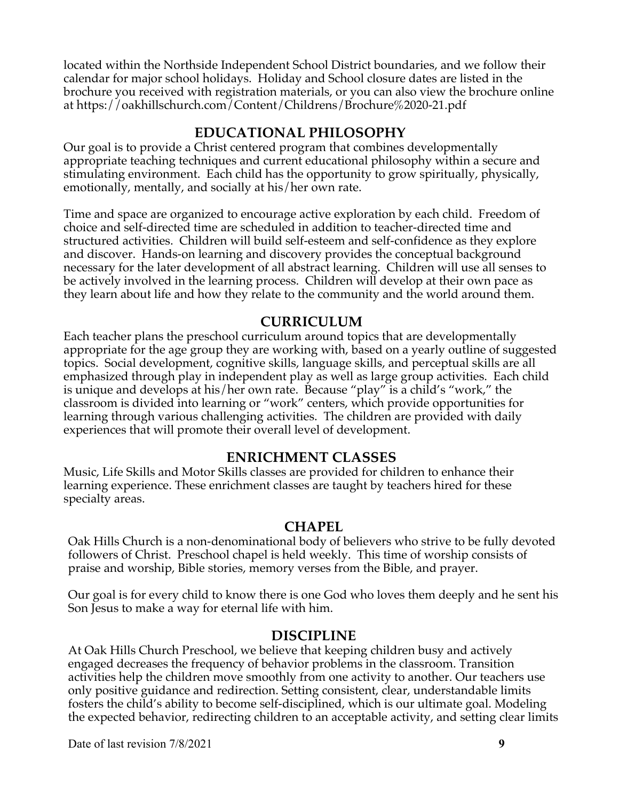located within the Northside Independent School District boundaries, and we follow their calendar for major school holidays. Holiday and School closure dates are listed in the brochure you received with registration materials, or you can also view the brochure online at https://oakhillschurch.com/Content/Childrens/Brochure%2020-21.pdf

#### **EDUCATIONAL PHILOSOPHY**

Our goal is to provide a Christ centered program that combines developmentally appropriate teaching techniques and current educational philosophy within a secure and stimulating environment. Each child has the opportunity to grow spiritually, physically, emotionally, mentally, and socially at his/her own rate.

Time and space are organized to encourage active exploration by each child. Freedom of choice and self-directed time are scheduled in addition to teacher-directed time and structured activities. Children will build self-esteem and self-confidence as they explore and discover. Hands-on learning and discovery provides the conceptual background necessary for the later development of all abstract learning. Children will use all senses to be actively involved in the learning process. Children will develop at their own pace as they learn about life and how they relate to the community and the world around them.

#### **CURRICULUM**

Each teacher plans the preschool curriculum around topics that are developmentally appropriate for the age group they are working with, based on a yearly outline of suggested topics. Social development, cognitive skills, language skills, and perceptual skills are all emphasized through play in independent play as well as large group activities. Each child is unique and develops at his/her own rate. Because "play" is a child's "work," the classroom is divided into learning or "work" centers, which provide opportunities for learning through various challenging activities. The children are provided with daily experiences that will promote their overall level of development.

#### **ENRICHMENT CLASSES**

Music, Life Skills and Motor Skills classes are provided for children to enhance their learning experience. These enrichment classes are taught by teachers hired for these specialty areas.

#### **CHAPEL**

Oak Hills Church is a non-denominational body of believers who strive to be fully devoted followers of Christ. Preschool chapel is held weekly. This time of worship consists of praise and worship, Bible stories, memory verses from the Bible, and prayer.

Our goal is for every child to know there is one God who loves them deeply and he sent his Son Jesus to make a way for eternal life with him.

#### **DISCIPLINE**

At Oak Hills Church Preschool, we believe that keeping children busy and actively engaged decreases the frequency of behavior problems in the classroom. Transition activities help the children move smoothly from one activity to another. Our teachers use only positive guidance and redirection. Setting consistent, clear, understandable limits fosters the child's ability to become self-disciplined, which is our ultimate goal. Modeling the expected behavior, redirecting children to an acceptable activity, and setting clear limits

Date of last revision 7/8/2021 **9**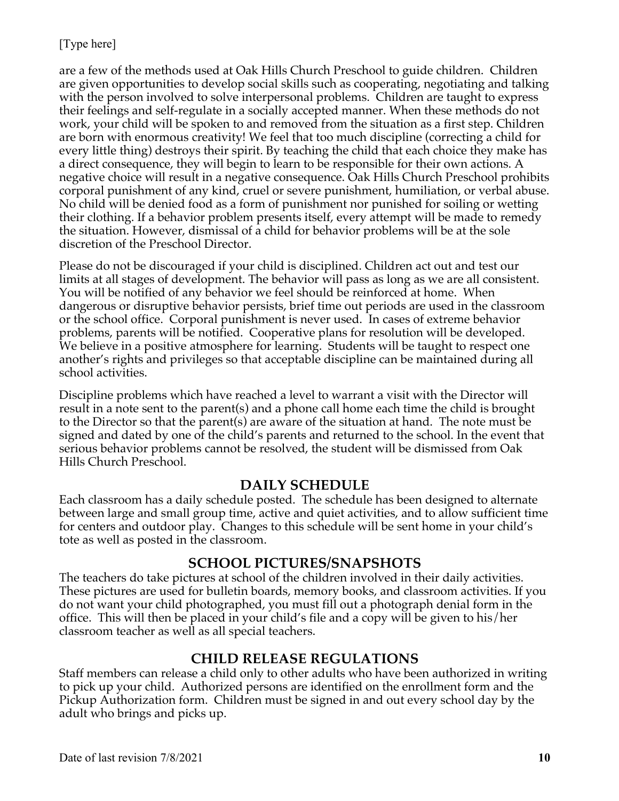are a few of the methods used at Oak Hills Church Preschool to guide children. Children are given opportunities to develop social skills such as cooperating, negotiating and talking with the person involved to solve interpersonal problems. Children are taught to express their feelings and self-regulate in a socially accepted manner. When these methods do not work, your child will be spoken to and removed from the situation as a first step. Children are born with enormous creativity! We feel that too much discipline (correcting a child for every little thing) destroys their spirit. By teaching the child that each choice they make has a direct consequence, they will begin to learn to be responsible for their own actions. A negative choice will result in a negative consequence. Oak Hills Church Preschool prohibits corporal punishment of any kind, cruel or severe punishment, humiliation, or verbal abuse. No child will be denied food as a form of punishment nor punished for soiling or wetting their clothing. If a behavior problem presents itself, every attempt will be made to remedy the situation. However, dismissal of a child for behavior problems will be at the sole discretion of the Preschool Director.

Please do not be discouraged if your child is disciplined. Children act out and test our limits at all stages of development. The behavior will pass as long as we are all consistent. You will be notified of any behavior we feel should be reinforced at home. When dangerous or disruptive behavior persists, brief time out periods are used in the classroom or the school office. Corporal punishment is never used. In cases of extreme behavior problems, parents will be notified. Cooperative plans for resolution will be developed. We believe in a positive atmosphere for learning. Students will be taught to respect one another's rights and privileges so that acceptable discipline can be maintained during all school activities.

Discipline problems which have reached a level to warrant a visit with the Director will result in a note sent to the parent(s) and a phone call home each time the child is brought to the Director so that the parent(s) are aware of the situation at hand. The note must be signed and dated by one of the child's parents and returned to the school. In the event that serious behavior problems cannot be resolved, the student will be dismissed from Oak Hills Church Preschool.

#### **DAILY SCHEDULE**

Each classroom has a daily schedule posted. The schedule has been designed to alternate between large and small group time, active and quiet activities, and to allow sufficient time for centers and outdoor play. Changes to this schedule will be sent home in your child's tote as well as posted in the classroom.

# **SCHOOL PICTURES/SNAPSHOTS**

The teachers do take pictures at school of the children involved in their daily activities. These pictures are used for bulletin boards, memory books, and classroom activities. If you do not want your child photographed, you must fill out a photograph denial form in the office. This will then be placed in your child's file and a copy will be given to his/her classroom teacher as well as all special teachers.

# **CHILD RELEASE REGULATIONS**

Staff members can release a child only to other adults who have been authorized in writing to pick up your child. Authorized persons are identified on the enrollment form and the Pickup Authorization form. Children must be signed in and out every school day by the adult who brings and picks up.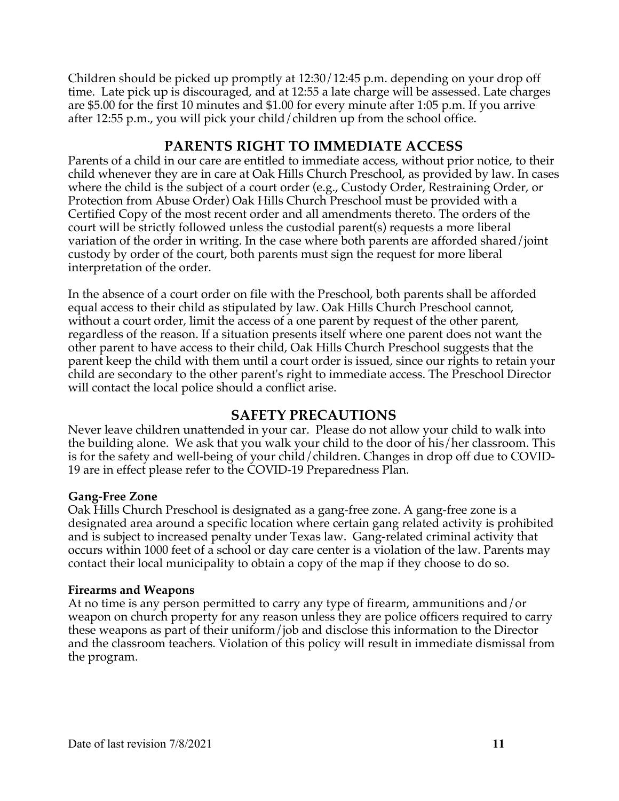Children should be picked up promptly at 12:30/12:45 p.m. depending on your drop off time. Late pick up is discouraged, and at 12:55 a late charge will be assessed. Late charges are \$5.00 for the first 10 minutes and \$1.00 for every minute after 1:05 p.m. If you arrive after 12:55 p.m., you will pick your child/children up from the school office.

# **PARENTS RIGHT TO IMMEDIATE ACCESS**

Parents of a child in our care are entitled to immediate access, without prior notice, to their child whenever they are in care at Oak Hills Church Preschool, as provided by law. In cases where the child is the subject of a court order (e.g., Custody Order, Restraining Order, or Protection from Abuse Order) Oak Hills Church Preschool must be provided with a Certified Copy of the most recent order and all amendments thereto. The orders of the court will be strictly followed unless the custodial parent(s) requests a more liberal variation of the order in writing. In the case where both parents are afforded shared/joint custody by order of the court, both parents must sign the request for more liberal interpretation of the order.

In the absence of a court order on file with the Preschool, both parents shall be afforded equal access to their child as stipulated by law. Oak Hills Church Preschool cannot, without a court order, limit the access of a one parent by request of the other parent, regardless of the reason. If a situation presents itself where one parent does not want the other parent to have access to their child, Oak Hills Church Preschool suggests that the parent keep the child with them until a court order is issued, since our rights to retain your child are secondary to the other parent's right to immediate access. The Preschool Director will contact the local police should a conflict arise.

#### **SAFETY PRECAUTIONS**

Never leave children unattended in your car. Please do not allow your child to walk into the building alone. We ask that you walk your child to the door of his/her classroom. This is for the safety and well-being of your child/children. Changes in drop off due to COVID-19 are in effect please refer to the COVID-19 Preparedness Plan.

#### **Gang-Free Zone**

Oak Hills Church Preschool is designated as a gang-free zone. A gang-free zone is a designated area around a specific location where certain gang related activity is prohibited and is subject to increased penalty under Texas law. Gang-related criminal activity that occurs within 1000 feet of a school or day care center is a violation of the law. Parents may contact their local municipality to obtain a copy of the map if they choose to do so.

#### **Firearms and Weapons**

At no time is any person permitted to carry any type of firearm, ammunitions and/or weapon on church property for any reason unless they are police officers required to carry these weapons as part of their uniform/job and disclose this information to the Director and the classroom teachers. Violation of this policy will result in immediate dismissal from the program.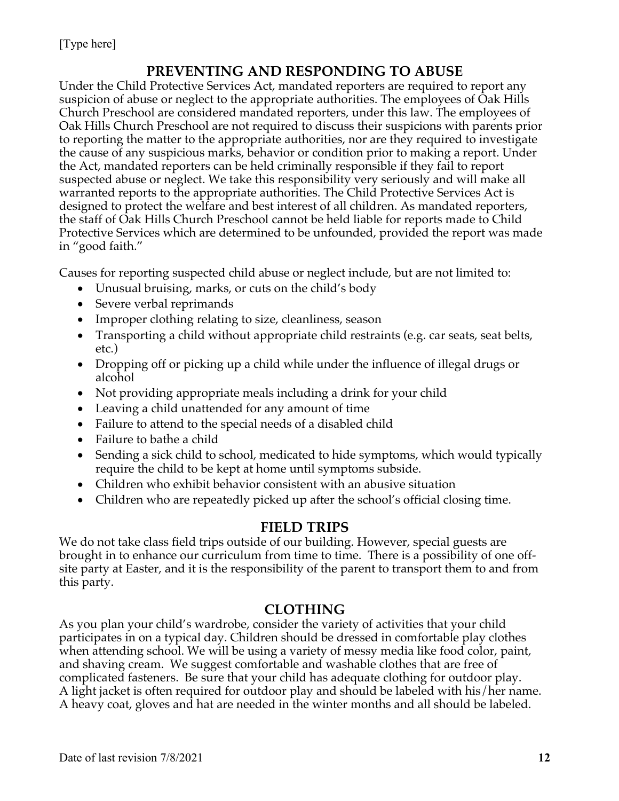# **PREVENTING AND RESPONDING TO ABUSE**

Under the Child Protective Services Act, mandated reporters are required to report any suspicion of abuse or neglect to the appropriate authorities. The employees of Oak Hills Church Preschool are considered mandated reporters, under this law. The employees of Oak Hills Church Preschool are not required to discuss their suspicions with parents prior to reporting the matter to the appropriate authorities, nor are they required to investigate the cause of any suspicious marks, behavior or condition prior to making a report. Under the Act, mandated reporters can be held criminally responsible if they fail to report suspected abuse or neglect. We take this responsibility very seriously and will make all warranted reports to the appropriate authorities. The Child Protective Services Act is designed to protect the welfare and best interest of all children. As mandated reporters, the staff of Oak Hills Church Preschool cannot be held liable for reports made to Child Protective Services which are determined to be unfounded, provided the report was made in "good faith."

Causes for reporting suspected child abuse or neglect include, but are not limited to:

- Unusual bruising, marks, or cuts on the child's body
- Severe verbal reprimands
- Improper clothing relating to size, cleanliness, season
- Transporting a child without appropriate child restraints (e.g. car seats, seat belts, etc.)
- Dropping off or picking up a child while under the influence of illegal drugs or alcohol
- Not providing appropriate meals including a drink for your child
- Leaving a child unattended for any amount of time
- Failure to attend to the special needs of a disabled child
- Failure to bathe a child
- Sending a sick child to school, medicated to hide symptoms, which would typically require the child to be kept at home until symptoms subside.
- Children who exhibit behavior consistent with an abusive situation
- Children who are repeatedly picked up after the school's official closing time.

# **FIELD TRIPS**

We do not take class field trips outside of our building. However, special guests are brought in to enhance our curriculum from time to time. There is a possibility of one offsite party at Easter, and it is the responsibility of the parent to transport them to and from this party.

# **CLOTHING**

As you plan your child's wardrobe, consider the variety of activities that your child participates in on a typical day. Children should be dressed in comfortable play clothes when attending school. We will be using a variety of messy media like food color, paint, and shaving cream. We suggest comfortable and washable clothes that are free of complicated fasteners. Be sure that your child has adequate clothing for outdoor play. A light jacket is often required for outdoor play and should be labeled with his/her name. A heavy coat, gloves and hat are needed in the winter months and all should be labeled.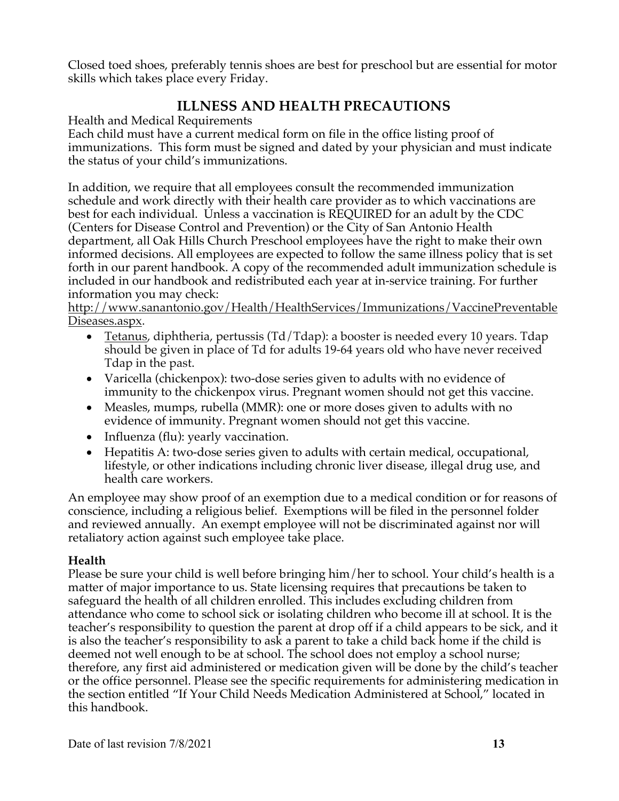Closed toed shoes, preferably tennis shoes are best for preschool but are essential for motor skills which takes place every Friday.

# **ILLNESS AND HEALTH PRECAUTIONS**

Health and Medical Requirements

Each child must have a current medical form on file in the office listing proof of immunizations. This form must be signed and dated by your physician and must indicate the status of your child's immunizations.

In addition, we require that all employees consult the recommended immunization schedule and work directly with their health care provider as to which vaccinations are best for each individual. Unless a vaccination is REQUIRED for an adult by the CDC (Centers for Disease Control and Prevention) or the City of San Antonio Health department, all Oak Hills Church Preschool employees have the right to make their own informed decisions. All employees are expected to follow the same illness policy that is set forth in our parent handbook. A copy of the recommended adult immunization schedule is included in our handbook and redistributed each year at in-service training. For further information you may check:

http://www.sanantonio.gov/Health/HealthServices/Immunizations/VaccinePreventable Diseases.aspx.

- Tetanus, diphtheria, pertussis (Td/Tdap): a booster is needed every 10 years. Tdap should be given in place of Td for adults 19-64 years old who have never received Tdap in the past.
- Varicella (chickenpox): two-dose series given to adults with no evidence of immunity to the chickenpox virus. Pregnant women should not get this vaccine.
- Measles, mumps, rubella (MMR): one or more doses given to adults with no evidence of immunity. Pregnant women should not get this vaccine.
- Influenza (flu): yearly vaccination.
- Hepatitis A: two-dose series given to adults with certain medical, occupational, lifestyle, or other indications including chronic liver disease, illegal drug use, and health care workers.

An employee may show proof of an exemption due to a medical condition or for reasons of conscience, including a religious belief. Exemptions will be filed in the personnel folder and reviewed annually. An exempt employee will not be discriminated against nor will retaliatory action against such employee take place.

#### **Health**

Please be sure your child is well before bringing him/her to school. Your child's health is a matter of major importance to us. State licensing requires that precautions be taken to safeguard the health of all children enrolled. This includes excluding children from attendance who come to school sick or isolating children who become ill at school. It is the teacher's responsibility to question the parent at drop off if a child appears to be sick, and it is also the teacher's responsibility to ask a parent to take a child back home if the child is deemed not well enough to be at school. The school does not employ a school nurse; therefore, any first aid administered or medication given will be done by the child's teacher or the office personnel. Please see the specific requirements for administering medication in the section entitled "If Your Child Needs Medication Administered at School," located in this handbook.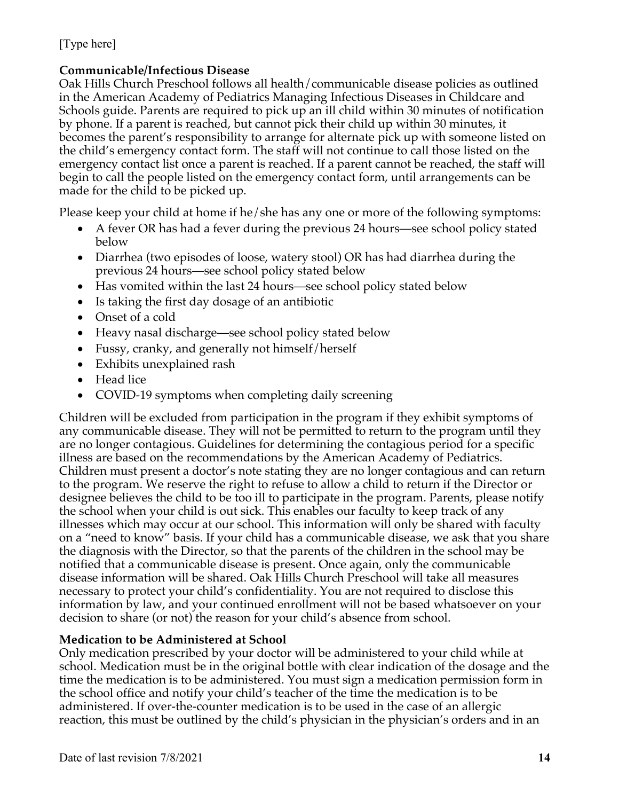#### **Communicable/Infectious Disease**

Oak Hills Church Preschool follows all health/communicable disease policies as outlined in the American Academy of Pediatrics Managing Infectious Diseases in Childcare and Schools guide. Parents are required to pick up an ill child within 30 minutes of notification by phone. If a parent is reached, but cannot pick their child up within 30 minutes, it becomes the parent's responsibility to arrange for alternate pick up with someone listed on the child's emergency contact form. The staff will not continue to call those listed on the emergency contact list once a parent is reached. If a parent cannot be reached, the staff will begin to call the people listed on the emergency contact form, until arrangements can be made for the child to be picked up.

Please keep your child at home if he/she has any one or more of the following symptoms:

- A fever OR has had a fever during the previous 24 hours—see school policy stated below
- Diarrhea (two episodes of loose, watery stool) OR has had diarrhea during the previous 24 hours—see school policy stated below
- Has vomited within the last 24 hours—see school policy stated below
- Is taking the first day dosage of an antibiotic
- Onset of a cold
- Heavy nasal discharge—see school policy stated below
- Fussy, cranky, and generally not himself/herself
- Exhibits unexplained rash
- Head lice
- COVID-19 symptoms when completing daily screening

Children will be excluded from participation in the program if they exhibit symptoms of any communicable disease. They will not be permitted to return to the program until they are no longer contagious. Guidelines for determining the contagious period for a specific illness are based on the recommendations by the American Academy of Pediatrics. Children must present a doctor's note stating they are no longer contagious and can return to the program. We reserve the right to refuse to allow a child to return if the Director or designee believes the child to be too ill to participate in the program. Parents, please notify the school when your child is out sick. This enables our faculty to keep track of any illnesses which may occur at our school. This information will only be shared with faculty on a "need to know" basis. If your child has a communicable disease, we ask that you share the diagnosis with the Director, so that the parents of the children in the school may be notified that a communicable disease is present. Once again, only the communicable disease information will be shared. Oak Hills Church Preschool will take all measures necessary to protect your child's confidentiality. You are not required to disclose this information by law, and your continued enrollment will not be based whatsoever on your decision to share (or not) the reason for your child's absence from school.

#### **Medication to be Administered at School**

Only medication prescribed by your doctor will be administered to your child while at school. Medication must be in the original bottle with clear indication of the dosage and the time the medication is to be administered. You must sign a medication permission form in the school office and notify your child's teacher of the time the medication is to be administered. If over-the-counter medication is to be used in the case of an allergic reaction, this must be outlined by the child's physician in the physician's orders and in an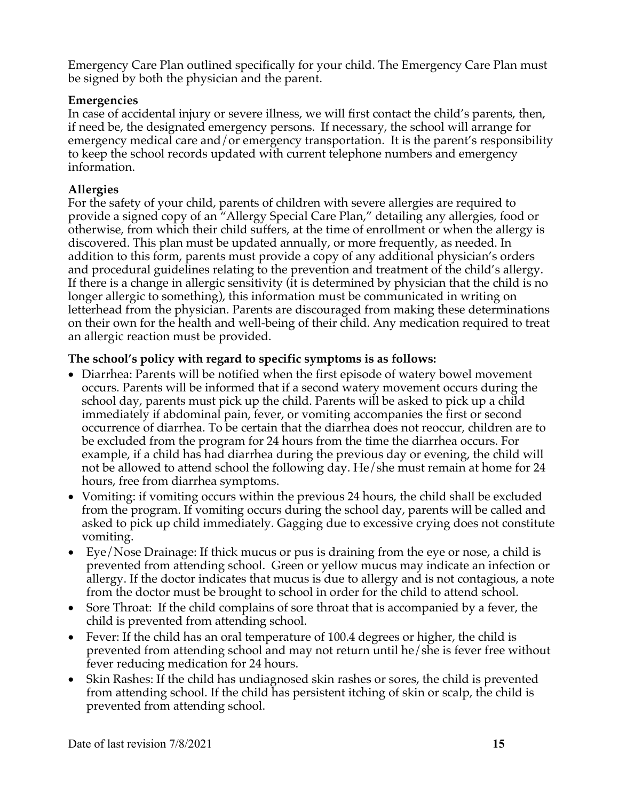Emergency Care Plan outlined specifically for your child. The Emergency Care Plan must be signed by both the physician and the parent.

#### **Emergencies**

In case of accidental injury or severe illness, we will first contact the child's parents, then, if need be, the designated emergency persons. If necessary, the school will arrange for emergency medical care and/or emergency transportation. It is the parent's responsibility to keep the school records updated with current telephone numbers and emergency information.

#### **Allergies**

For the safety of your child, parents of children with severe allergies are required to provide a signed copy of an "Allergy Special Care Plan," detailing any allergies, food or otherwise, from which their child suffers, at the time of enrollment or when the allergy is discovered. This plan must be updated annually, or more frequently, as needed. In addition to this form, parents must provide a copy of any additional physician's orders and procedural guidelines relating to the prevention and treatment of the child's allergy. If there is a change in allergic sensitivity (it is determined by physician that the child is no longer allergic to something), this information must be communicated in writing on letterhead from the physician. Parents are discouraged from making these determinations on their own for the health and well-being of their child. Any medication required to treat an allergic reaction must be provided.

#### **The school's policy with regard to specific symptoms is as follows:**

- Diarrhea: Parents will be notified when the first episode of watery bowel movement occurs. Parents will be informed that if a second watery movement occurs during the school day, parents must pick up the child. Parents will be asked to pick up a child immediately if abdominal pain, fever, or vomiting accompanies the first or second occurrence of diarrhea. To be certain that the diarrhea does not reoccur, children are to be excluded from the program for 24 hours from the time the diarrhea occurs. For example, if a child has had diarrhea during the previous day or evening, the child will not be allowed to attend school the following day. He/she must remain at home for 24 hours, free from diarrhea symptoms.
- Vomiting: if vomiting occurs within the previous 24 hours, the child shall be excluded from the program. If vomiting occurs during the school day, parents will be called and asked to pick up child immediately. Gagging due to excessive crying does not constitute vomiting.
- Eye/Nose Drainage: If thick mucus or pus is draining from the eye or nose, a child is prevented from attending school. Green or yellow mucus may indicate an infection or allergy. If the doctor indicates that mucus is due to allergy and is not contagious, a note from the doctor must be brought to school in order for the child to attend school.
- Sore Throat: If the child complains of sore throat that is accompanied by a fever, the child is prevented from attending school.
- Fever: If the child has an oral temperature of 100.4 degrees or higher, the child is prevented from attending school and may not return until he/she is fever free without fever reducing medication for 24 hours.
- Skin Rashes: If the child has undiagnosed skin rashes or sores, the child is prevented from attending school. If the child has persistent itching of skin or scalp, the child is prevented from attending school.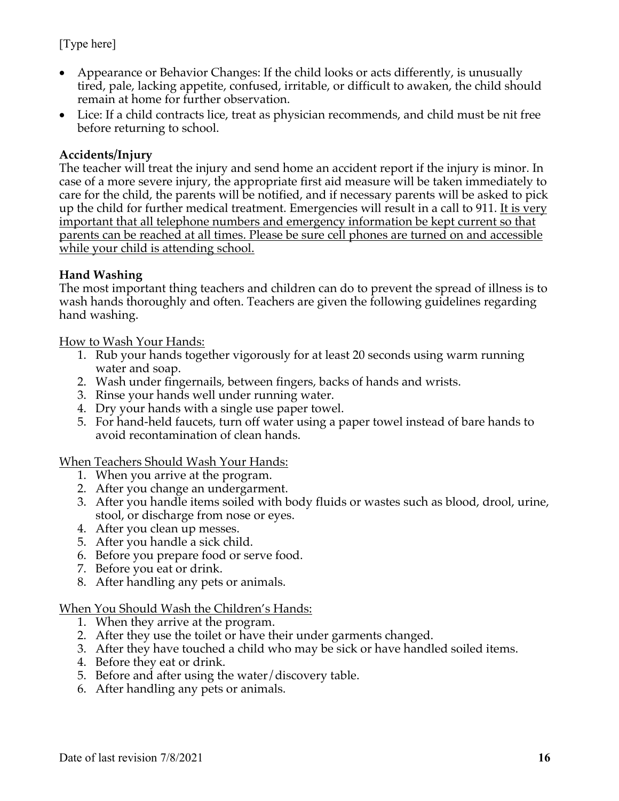- Appearance or Behavior Changes: If the child looks or acts differently, is unusually tired, pale, lacking appetite, confused, irritable, or difficult to awaken, the child should remain at home for further observation.
- Lice: If a child contracts lice, treat as physician recommends, and child must be nit free before returning to school.

#### **Accidents/Injury**

The teacher will treat the injury and send home an accident report if the injury is minor. In case of a more severe injury, the appropriate first aid measure will be taken immediately to care for the child, the parents will be notified, and if necessary parents will be asked to pick up the child for further medical treatment. Emergencies will result in a call to 911. It is very important that all telephone numbers and emergency information be kept current so that parents can be reached at all times. Please be sure cell phones are turned on and accessible while your child is attending school.

#### **Hand Washing**

The most important thing teachers and children can do to prevent the spread of illness is to wash hands thoroughly and often. Teachers are given the following guidelines regarding hand washing.

How to Wash Your Hands:

- 1. Rub your hands together vigorously for at least 20 seconds using warm running water and soap.
- 2. Wash under fingernails, between fingers, backs of hands and wrists.
- 3. Rinse your hands well under running water.
- 4. Dry your hands with a single use paper towel.
- 5. For hand-held faucets, turn off water using a paper towel instead of bare hands to avoid recontamination of clean hands.

When Teachers Should Wash Your Hands:

- 1. When you arrive at the program.
- 2. After you change an undergarment.
- 3. After you handle items soiled with body fluids or wastes such as blood, drool, urine, stool, or discharge from nose or eyes.
- 4. After you clean up messes.
- 5. After you handle a sick child.
- 6. Before you prepare food or serve food.
- 7. Before you eat or drink.
- 8. After handling any pets or animals.

#### When You Should Wash the Children's Hands:

- 1. When they arrive at the program.
- 2. After they use the toilet or have their under garments changed.
- 3. After they have touched a child who may be sick or have handled soiled items.
- 4. Before they eat or drink.
- 5. Before and after using the water/discovery table.
- 6. After handling any pets or animals.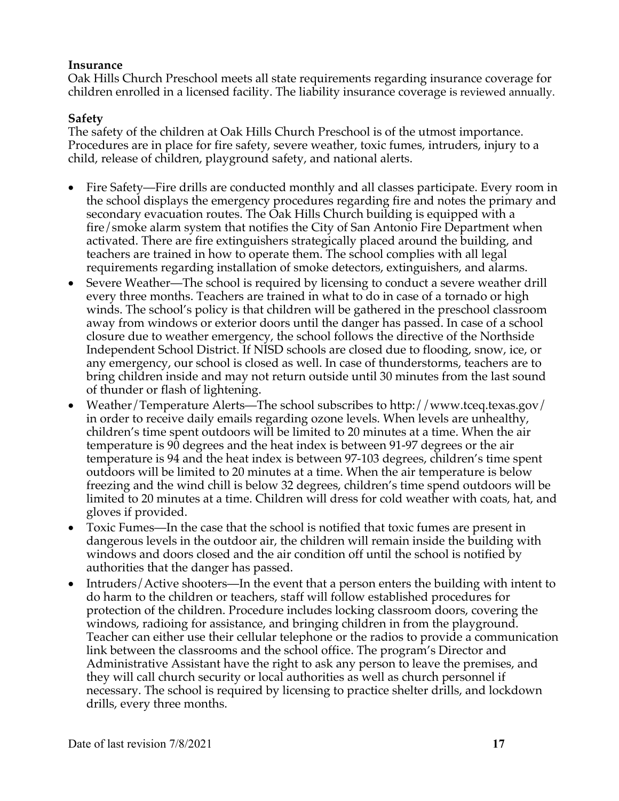#### **Insurance**

Oak Hills Church Preschool meets all state requirements regarding insurance coverage for children enrolled in a licensed facility. The liability insurance coverage is reviewed annually.

#### **Safety**

The safety of the children at Oak Hills Church Preschool is of the utmost importance. Procedures are in place for fire safety, severe weather, toxic fumes, intruders, injury to a child, release of children, playground safety, and national alerts.

- Fire Safety—Fire drills are conducted monthly and all classes participate. Every room in the school displays the emergency procedures regarding fire and notes the primary and secondary evacuation routes. The Oak Hills Church building is equipped with a fire/smoke alarm system that notifies the City of San Antonio Fire Department when activated. There are fire extinguishers strategically placed around the building, and teachers are trained in how to operate them. The school complies with all legal requirements regarding installation of smoke detectors, extinguishers, and alarms.
- Severe Weather—The school is required by licensing to conduct a severe weather drill every three months. Teachers are trained in what to do in case of a tornado or high winds. The school's policy is that children will be gathered in the preschool classroom away from windows or exterior doors until the danger has passed. In case of a school closure due to weather emergency, the school follows the directive of the Northside Independent School District. If NISD schools are closed due to flooding, snow, ice, or any emergency, our school is closed as well. In case of thunderstorms, teachers are to bring children inside and may not return outside until 30 minutes from the last sound of thunder or flash of lightening.
- Weather/Temperature Alerts—The school subscribes to http://www.tceq.texas.gov/ in order to receive daily emails regarding ozone levels. When levels are unhealthy, children's time spent outdoors will be limited to 20 minutes at a time. When the air temperature is 90 degrees and the heat index is between 91-97 degrees or the air temperature is 94 and the heat index is between 97-103 degrees, children's time spent outdoors will be limited to 20 minutes at a time. When the air temperature is below freezing and the wind chill is below 32 degrees, children's time spend outdoors will be limited to 20 minutes at a time. Children will dress for cold weather with coats, hat, and gloves if provided.
- Toxic Fumes—In the case that the school is notified that toxic fumes are present in dangerous levels in the outdoor air, the children will remain inside the building with windows and doors closed and the air condition off until the school is notified by authorities that the danger has passed.
- Intruders/Active shooters—In the event that a person enters the building with intent to do harm to the children or teachers, staff will follow established procedures for protection of the children. Procedure includes locking classroom doors, covering the windows, radioing for assistance, and bringing children in from the playground. Teacher can either use their cellular telephone or the radios to provide a communication link between the classrooms and the school office. The program's Director and Administrative Assistant have the right to ask any person to leave the premises, and they will call church security or local authorities as well as church personnel if necessary. The school is required by licensing to practice shelter drills, and lockdown drills, every three months.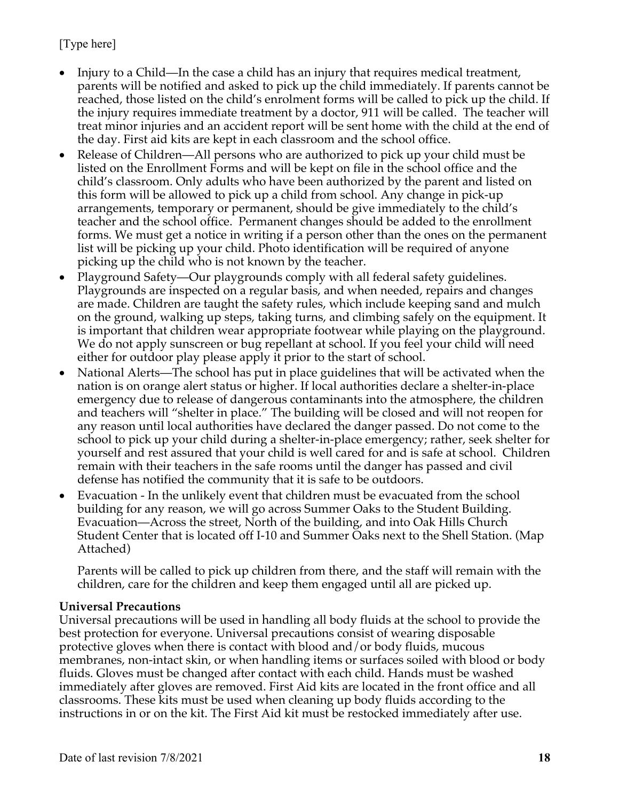- Injury to a Child—In the case a child has an injury that requires medical treatment, parents will be notified and asked to pick up the child immediately. If parents cannot be reached, those listed on the child's enrolment forms will be called to pick up the child. If the injury requires immediate treatment by a doctor, 911 will be called. The teacher will treat minor injuries and an accident report will be sent home with the child at the end of the day. First aid kits are kept in each classroom and the school office.
- Release of Children—All persons who are authorized to pick up your child must be listed on the Enrollment Forms and will be kept on file in the school office and the child's classroom. Only adults who have been authorized by the parent and listed on this form will be allowed to pick up a child from school. Any change in pick-up arrangements, temporary or permanent, should be give immediately to the child's teacher and the school office. Permanent changes should be added to the enrollment forms. We must get a notice in writing if a person other than the ones on the permanent list will be picking up your child. Photo identification will be required of anyone picking up the child who is not known by the teacher.
- Playground Safety—Our playgrounds comply with all federal safety guidelines. Playgrounds are inspected on a regular basis, and when needed, repairs and changes are made. Children are taught the safety rules, which include keeping sand and mulch on the ground, walking up steps, taking turns, and climbing safely on the equipment. It is important that children wear appropriate footwear while playing on the playground. We do not apply sunscreen or bug repellant at school. If you feel your child will need either for outdoor play please apply it prior to the start of school.
- National Alerts—The school has put in place guidelines that will be activated when the nation is on orange alert status or higher. If local authorities declare a shelter-in-place emergency due to release of dangerous contaminants into the atmosphere, the children and teachers will "shelter in place." The building will be closed and will not reopen for any reason until local authorities have declared the danger passed. Do not come to the school to pick up your child during a shelter-in-place emergency; rather, seek shelter for yourself and rest assured that your child is well cared for and is safe at school. Children remain with their teachers in the safe rooms until the danger has passed and civil defense has notified the community that it is safe to be outdoors.
- Evacuation In the unlikely event that children must be evacuated from the school building for any reason, we will go across Summer Oaks to the Student Building. Evacuation—Across the street, North of the building, and into Oak Hills Church Student Center that is located off I-10 and Summer Oaks next to the Shell Station. (Map Attached)

Parents will be called to pick up children from there, and the staff will remain with the children, care for the children and keep them engaged until all are picked up.

#### **Universal Precautions**

Universal precautions will be used in handling all body fluids at the school to provide the best protection for everyone. Universal precautions consist of wearing disposable protective gloves when there is contact with blood and/or body fluids, mucous membranes, non-intact skin, or when handling items or surfaces soiled with blood or body fluids. Gloves must be changed after contact with each child. Hands must be washed immediately after gloves are removed. First Aid kits are located in the front office and all classrooms. These kits must be used when cleaning up body fluids according to the instructions in or on the kit. The First Aid kit must be restocked immediately after use.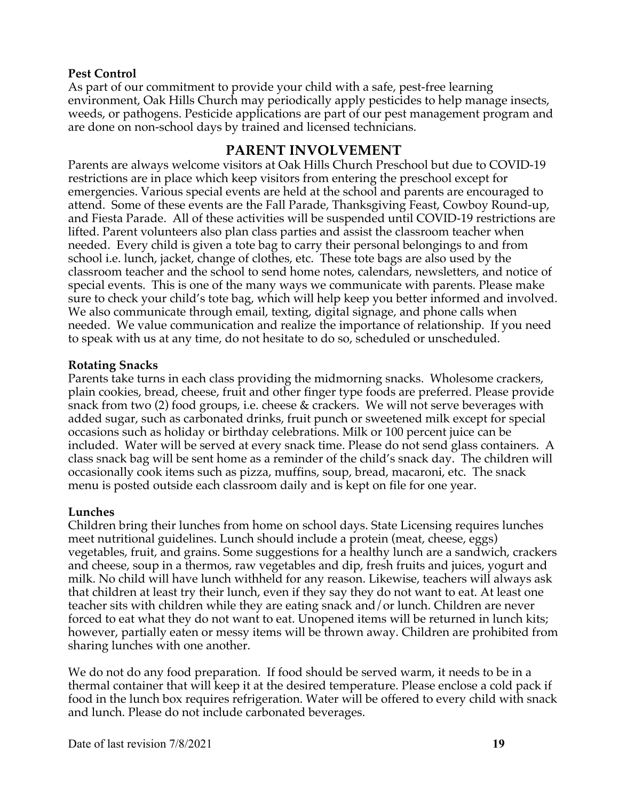#### **Pest Control**

As part of our commitment to provide your child with a safe, pest-free learning environment, Oak Hills Church may periodically apply pesticides to help manage insects, weeds, or pathogens. Pesticide applications are part of our pest management program and are done on non-school days by trained and licensed technicians.

#### **PARENT INVOLVEMENT**

Parents are always welcome visitors at Oak Hills Church Preschool but due to COVID-19 restrictions are in place which keep visitors from entering the preschool except for emergencies. Various special events are held at the school and parents are encouraged to attend. Some of these events are the Fall Parade, Thanksgiving Feast, Cowboy Round-up, and Fiesta Parade. All of these activities will be suspended until COVID-19 restrictions are lifted. Parent volunteers also plan class parties and assist the classroom teacher when needed. Every child is given a tote bag to carry their personal belongings to and from school i.e. lunch, jacket, change of clothes, etc. These tote bags are also used by the classroom teacher and the school to send home notes, calendars, newsletters, and notice of special events. This is one of the many ways we communicate with parents. Please make sure to check your child's tote bag, which will help keep you better informed and involved. We also communicate through email, texting, digital signage, and phone calls when needed. We value communication and realize the importance of relationship. If you need to speak with us at any time, do not hesitate to do so, scheduled or unscheduled.

#### **Rotating Snacks**

Parents take turns in each class providing the midmorning snacks. Wholesome crackers, plain cookies, bread, cheese, fruit and other finger type foods are preferred. Please provide snack from two (2) food groups, i.e. cheese & crackers. We will not serve beverages with added sugar, such as carbonated drinks, fruit punch or sweetened milk except for special occasions such as holiday or birthday celebrations. Milk or 100 percent juice can be included. Water will be served at every snack time. Please do not send glass containers. A class snack bag will be sent home as a reminder of the child's snack day. The children will occasionally cook items such as pizza, muffins, soup, bread, macaroni, etc. The snack menu is posted outside each classroom daily and is kept on file for one year.

#### **Lunches**

Children bring their lunches from home on school days. State Licensing requires lunches meet nutritional guidelines. Lunch should include a protein (meat, cheese, eggs) vegetables, fruit, and grains. Some suggestions for a healthy lunch are a sandwich, crackers and cheese, soup in a thermos, raw vegetables and dip, fresh fruits and juices, yogurt and milk. No child will have lunch withheld for any reason. Likewise, teachers will always ask that children at least try their lunch, even if they say they do not want to eat. At least one teacher sits with children while they are eating snack and/or lunch. Children are never forced to eat what they do not want to eat. Unopened items will be returned in lunch kits; however, partially eaten or messy items will be thrown away. Children are prohibited from sharing lunches with one another.

We do not do any food preparation. If food should be served warm, it needs to be in a thermal container that will keep it at the desired temperature. Please enclose a cold pack if food in the lunch box requires refrigeration. Water will be offered to every child with snack and lunch. Please do not include carbonated beverages.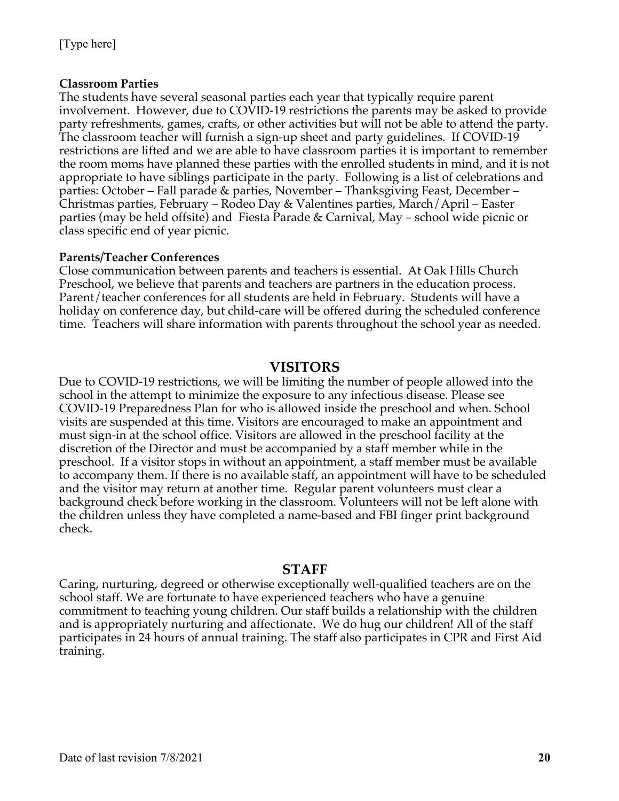#### **Classroom Parties**

The students have several seasonal parties each year that typically require parent involvement. However, due to COVID-19 restrictions the parents may be asked to provide party refreshments, games, crafts, or other activities but will not be able to attend the party. The classroom teacher will furnish a sign-up sheet and party guidelines. If COVID-19 restrictions are lifted and we are able to have classroom parties it is important to remember the room moms have planned these parties with the enrolled students in mind, and it is not appropriate to have siblings participate in the party. Following is a list of celebrations and parties: October – Fall parade & parties, November – Thanksgiving Feast, December – Christmas parties, February – Rodeo Day & Valentines parties, March/April – Easter parties (may be held offsite) and Fiesta Parade & Carnival, May – school wide picnic or class specific end of year picnic.

#### **Parents/Teacher Conferences**

Close communication between parents and teachers is essential. At Oak Hills Church Preschool, we believe that parents and teachers are partners in the education process. Parent/teacher conferences for all students are held in February. Students will have a holiday on conference day, but child-care will be offered during the scheduled conference time. Teachers will share information with parents throughout the school year as needed.

#### **VISITORS**

Due to COVID-19 restrictions, we will be limiting the number of people allowed into the school in the attempt to minimize the exposure to any infectious disease. Please see COVID-19 Preparedness Plan for who is allowed inside the preschool and when. School visits are suspended at this time. Visitors are encouraged to make an appointment and must sign-in at the school office. Visitors are allowed in the preschool facility at the discretion of the Director and must be accompanied by a staff member while in the preschool. If a visitor stops in without an appointment, a staff member must be available to accompany them. If there is no available staff, an appointment will have to be scheduled and the visitor may return at another time. Regular parent volunteers must clear a background check before working in the classroom. Volunteers will not be left alone with the children unless they have completed a name-based and FBI finger print background check.

#### **STAFF**

Caring, nurturing, degreed or otherwise exceptionally well-qualified teachers are on the school staff. We are fortunate to have experienced teachers who have a genuine commitment to teaching young children. Our staff builds a relationship with the children and is appropriately nurturing and affectionate. We do hug our children! All of the staff participates in 24 hours of annual training. The staff also participates in CPR and First Aid training.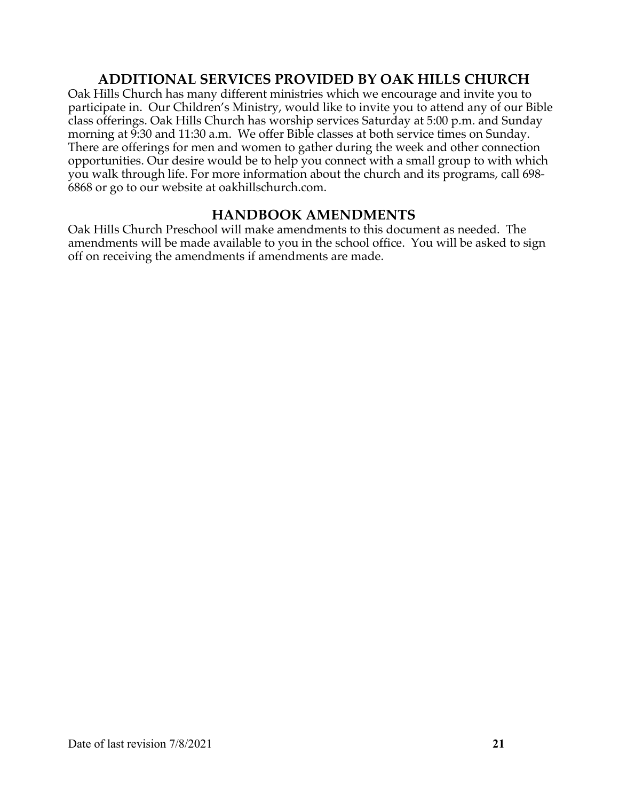### **ADDITIONAL SERVICES PROVIDED BY OAK HILLS CHURCH**

Oak Hills Church has many different ministries which we encourage and invite you to participate in. Our Children's Ministry, would like to invite you to attend any of our Bible class offerings. Oak Hills Church has worship services Saturday at 5:00 p.m. and Sunday morning at 9:30 and 11:30 a.m. We offer Bible classes at both service times on Sunday. There are offerings for men and women to gather during the week and other connection opportunities. Our desire would be to help you connect with a small group to with which you walk through life. For more information about the church and its programs, call 698- 6868 or go to our website at oakhillschurch.com.

### **HANDBOOK AMENDMENTS**

Oak Hills Church Preschool will make amendments to this document as needed. The amendments will be made available to you in the school office. You will be asked to sign off on receiving the amendments if amendments are made.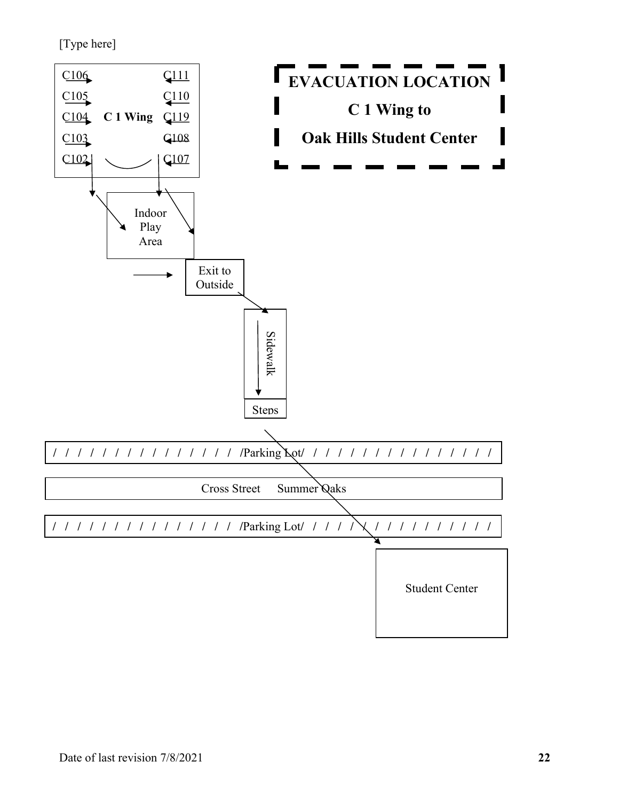[Type here]

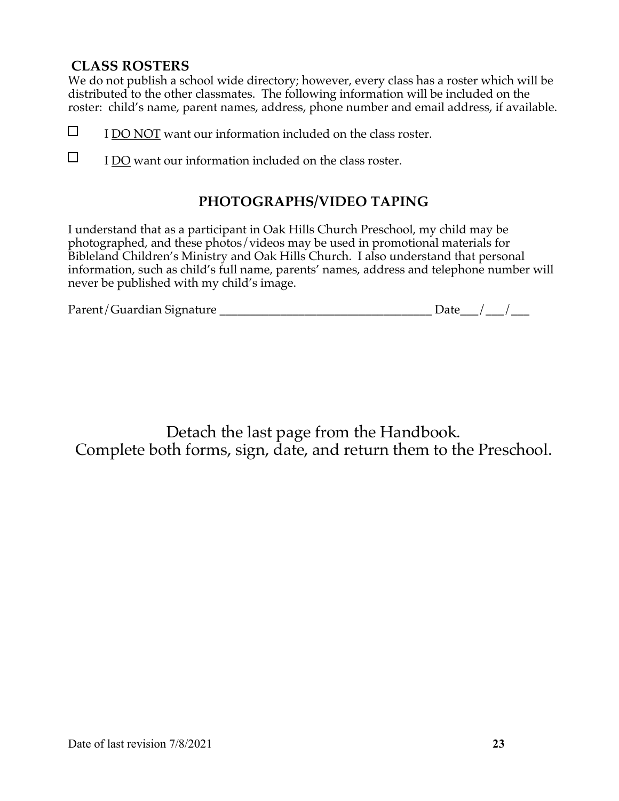### **CLASS ROSTERS**

We do not publish a school wide directory; however, every class has a roster which will be distributed to the other classmates. The following information will be included on the roster: child's name, parent names, address, phone number and email address, if available.

- $\Box$ I DO NOT want our information included on the class roster.
- $\Box$ I DO want our information included on the class roster.

### **PHOTOGRAPHS/VIDEO TAPING**

I understand that as a participant in Oak Hills Church Preschool, my child may be photographed, and these photos/videos may be used in promotional materials for Bibleland Children's Ministry and Oak Hills Church. I also understand that personal information, such as child's full name, parents' names, address and telephone number will never be published with my child's image.

| Parent/Guardian Signature | Jate |  |
|---------------------------|------|--|
|                           |      |  |

Detach the last page from the Handbook. Complete both forms, sign, date, and return them to the Preschool.